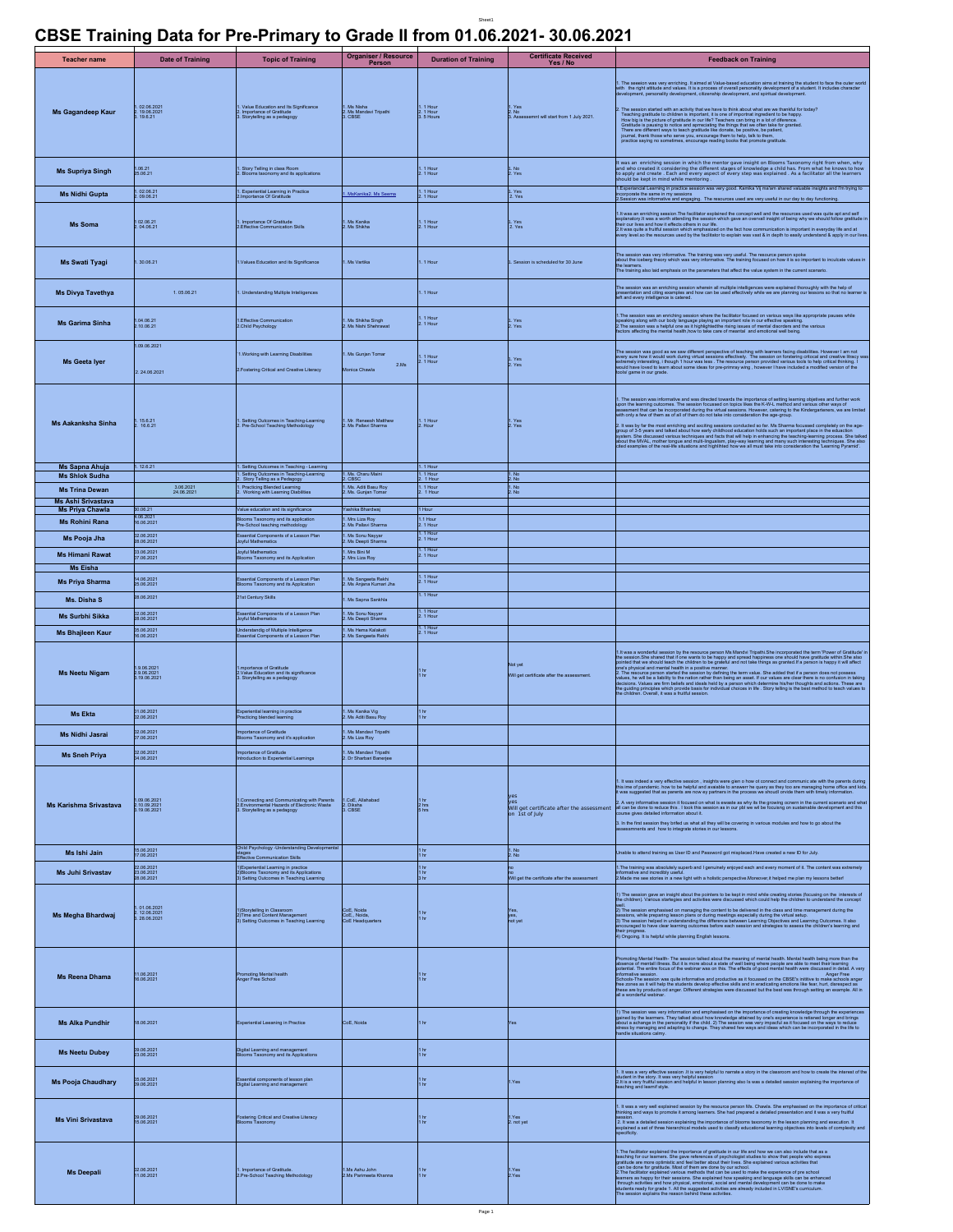## **CBSE Training Data for Pre-Primary to Grade II from 01.06.2021- 30.06.2021**

Sheet1

| <b>Teacher name</b>                          | <b>Date of Training</b>                     | <b>Topic of Training</b>                                                                                                                                                    | <b>Organiser / Resource</b><br>Person             | <b>Duration of Training</b>          | <b>Certificate Received</b><br>Yes / No                            | <b>Feedback on Training</b>                                                                                                                                                                                                                                                                                                                                                                                                                                                                                                                                                                                                                   |
|----------------------------------------------|---------------------------------------------|-----------------------------------------------------------------------------------------------------------------------------------------------------------------------------|---------------------------------------------------|--------------------------------------|--------------------------------------------------------------------|-----------------------------------------------------------------------------------------------------------------------------------------------------------------------------------------------------------------------------------------------------------------------------------------------------------------------------------------------------------------------------------------------------------------------------------------------------------------------------------------------------------------------------------------------------------------------------------------------------------------------------------------------|
| <b>Ms Gagandeep Kaur</b>                     | 02.06.2021<br>19.06.2021<br>19.6.21         | . Value Education and Its Significance<br>Importance of Gratitude<br>Storytelling as a pedagogy                                                                             | . Ms Nisha<br>. Ms Mandavi Tripathi<br>. CBSE     | 1. 1 Hour<br>2. 1 Hour<br>3. 5 Hours | . Yes<br>. No<br>. Assessemnt will start from 1 July 2021.         | 1. The seecion was very enriching. It aimed at Value-based education aims at training the student to face the outer world<br>with the right attitude and values. It is a process of overall personality development of a student.<br>. The session started with an acting that we have the brief about antal are we thankful or today? The started for the content of the started of the started of the started of the started of the started of the started of th                                                                                                                                                                            |
| <b>Ms Supriya Singh</b>                      | 1.06.21<br>25.06.21                         | Story Telling in class Room<br>. Blooms taxonomy and its applications                                                                                                       |                                                   | 1. 1 Hour<br>2. 1 Hour               | L. No<br>2. Yes                                                    |                                                                                                                                                                                                                                                                                                                                                                                                                                                                                                                                                                                                                                               |
| <b>Ms Nidhi Gupta</b>                        | l. 02.06.21<br>!. 09.06.21                  | . Experiential Learning in Practice<br>!.Importance Of Gratitude                                                                                                            | MsKanika2. Ms Seema                               | 1. 1 Hour<br>2. 1 Hour               | Yes<br>2. Yes                                                      | 1. Experiancial Learning in practice session was very good. Kamika Vij ma'am shared valuable insights and I'm trying to<br>Incorporate the same in my sessions                                                                                                                                                                                                                                                                                                                                                                                                                                                                                |
|                                              |                                             |                                                                                                                                                                             |                                                   |                                      |                                                                    | 2. Session was informative and engaging. The resources used are very useful in our day to day functioning                                                                                                                                                                                                                                                                                                                                                                                                                                                                                                                                     |
| <b>Ms Soma</b>                               | 1 02.06.21<br>2.04.06.21                    | 1. Importance Of Gratitude<br>2. Effective Communication Skills                                                                                                             | . Ms Kanika<br>. Ms Shikha                        | 1. 1 Hour<br>2. 1 Hour               | 1. Yes<br>2. Yes                                                   | 1.1 was an enriching session. The facilitator explained the concept well and the resources used was quite apt and self<br>explainatory, It was a worth attentiong the session which gave an overval insight of being why we shoul                                                                                                                                                                                                                                                                                                                                                                                                             |
| Ms Swati Tyagi                               | .30.06.21                                   | 1.Values Education and its Significance                                                                                                                                     | Ms Vartika                                        | . 1 Hour                             | Session is scheduled for 30 June                                   | The seasion was very informative. The training was very useful. The resource person spoke<br>about the iceberg theory which was very informative. The training focused on how it is so important to inculsate values in<br>The train                                                                                                                                                                                                                                                                                                                                                                                                          |
| <b>Ms Divya Tavethya</b>                     | 1.05.06.21                                  | . Understanding Multiple Intelligences                                                                                                                                      |                                                   | . 1 Hour                             |                                                                    | The session was an enriching session wherein all multiple intelligences were explained thoroughly with the help of<br>presentation and cling examples and how can be used effectively while we are planning our lessons so that n                                                                                                                                                                                                                                                                                                                                                                                                             |
| <b>Ms Garima Sinha</b>                       | 1.04.06.21<br>2.10.06.21                    | 1.Effective Communication<br>2.Child Psychology                                                                                                                             | . Ms Shikha Singh<br>!. Ms Nishi Shehrawat        | 1. 1 Hour<br>2. 1 Hour               | 1. Yes<br>2. Yes                                                   | 1. The session was an enriching session where the facilitator focused on various ways like appropriate pauses while<br>speaking along with our body language playing an important role in our effective speaking.<br>2. The session was a helpful one as it highlightedthe rising issues of mental disorders and the various<br>factors affecting the menta                                                                                                                                                                                                                                                                                   |
| Ms Geeta Iyer                                | 09.06.2021<br>2.24.06.2021                  | 1. Working with Learning Disabilities<br>2. Fostering Critical and Creative Literacy                                                                                        | Ms Gunjan Tomar<br>2.Ms<br>Monica Chawla          | 1. 1 Hour<br>2. 1 Hour               | Yes<br>Yes                                                         | The session was good as we saw different perspective of teaching with learners facing disabilities. However I am not<br>levely sure fow il would work during virtual sessions effectively. The session on forstering infloces and<br>ve litracy                                                                                                                                                                                                                                                                                                                                                                                               |
| Ms Aakanksha Sinha                           | 15.6.21<br>16.6.21                          | . Setting Outcomes in Teaching-Learning<br>. Pre-School Teaching Methodology                                                                                                | . Mr. Reneesh Matthew<br>. Ms Pallavi Sharma      | l. 1 Hour<br>2. Hour                 | Yes<br>Yes                                                         | 1. The session was informative and was directed towards the importance of setting learning chiefores and surfar<br>upon the learning outcomes. The session focussed on topics likes the K-W-L method and various other ways of<br>as<br>2. It was by far the most enriching and axciting sessions conducted so far. Ms Sharma focussed completely on the age-<br>group of 3-5 years and talked about how early childnood education holds such an important place in the education<br>Bystem. She discussed various techniques and facts that will help in enhancing the teaching-learning process.                                            |
| Ms Sapna Ahuja<br><b>Ms Shlok Sudha</b>      | 1.12.6.21                                   | I. Setting Outcomes in Teaching - Learning<br>Setting Outcomes in Teaching-Learning<br>Story Telling as a Pedagogy                                                          | I. Ms. Charu Maini<br><b>CBSC</b>                 | 1. 1 Hour<br>1. 1 Hour<br>2. 1 Hour  | l . No<br>2. No                                                    |                                                                                                                                                                                                                                                                                                                                                                                                                                                                                                                                                                                                                                               |
| <b>Ms Trina Dewan</b>                        | 3.06.2021<br>24.06.2021                     | . Practicing Blended Learning<br>Working with Learning Diabilities                                                                                                          | l. Ms. Aditi Basu Roy<br>!. Ms. Gunjan Tomar      | . 1 Hour<br>1 Hou                    | l. No<br>2. No                                                     |                                                                                                                                                                                                                                                                                                                                                                                                                                                                                                                                                                                                                                               |
| Ms Ashi Srivastava<br><b>Ms Priya Chawla</b> | 30.06.21                                    | Value education and its significance                                                                                                                                        | Yashika Bhardwaj                                  | 1 Hour                               |                                                                    |                                                                                                                                                                                                                                                                                                                                                                                                                                                                                                                                                                                                                                               |
| <b>Ms Rohini Rana</b>                        | 4.06.2021<br>16.06.2021                     | Blooms Taxonomy and its application<br>Pre-School teaching methodology                                                                                                      | . Mrs Liza Roy<br>. Ms Pallavi Sharma             | 1.1 Hour<br>2. 1 Hour                |                                                                    |                                                                                                                                                                                                                                                                                                                                                                                                                                                                                                                                                                                                                                               |
| Ms Pooja Jha                                 | 02.06.2021<br>28.06.2021                    | Essential Components of a Lesson Plan<br>Jovful Mathematics                                                                                                                 | Ms Sonu Nayyar<br>Ms Deepti Sharma                | 1. 1 Hour<br>2. 1 Hour<br>1.1 Hour   |                                                                    |                                                                                                                                                                                                                                                                                                                                                                                                                                                                                                                                                                                                                                               |
| <b>Ms Himani Rawat</b><br><b>Ms Eisha</b>    | 03.06.2021<br>07.06.2021                    | Joyful Mathematics<br>Blooms Taxonomy and its Application                                                                                                                   | Mrs Bini M<br>Mrs Liza Roy                        | 2. 1 Hour                            |                                                                    |                                                                                                                                                                                                                                                                                                                                                                                                                                                                                                                                                                                                                                               |
| <b>Ms Priya Sharma</b>                       | 14.06.2021<br>25.06.2021                    | Essential Components of a Lesson Plan<br>looms Taxonomy and its Application                                                                                                 | . Ms Sangeeta Rekhi<br>. Ms Anjana Kumari Jha     | 1. 1 Hour<br>2. 1 Hour               |                                                                    |                                                                                                                                                                                                                                                                                                                                                                                                                                                                                                                                                                                                                                               |
| Ms. Disha S                                  | 28.06.2021                                  | 21st Century Skills                                                                                                                                                         | Ms Sapna Sankhla                                  | I. 1 Hour                            |                                                                    |                                                                                                                                                                                                                                                                                                                                                                                                                                                                                                                                                                                                                                               |
| Ms Surbhi Sikka                              | 02.06.2021<br>28.06.2021                    | Essential Components of a Lesson Plan<br>Joyful Mathematics                                                                                                                 | l. Ms Sonu Nayyar<br>!. Ms Deepti Sharma          | 1. 1 Hour<br>2. 1 Hour               |                                                                    |                                                                                                                                                                                                                                                                                                                                                                                                                                                                                                                                                                                                                                               |
| <b>Ms Bhajleen Kaur</b>                      | 05.06.2021<br>16.06.2021                    | Inderstandig of Multiple Intelligence<br>Issential Components of a Lesson Plan                                                                                              | l. Ms Hema Kalakoti<br>!. Ms Sangeeta Rekhi       | 1. 1 Hour<br>2. 1 Hour               |                                                                    |                                                                                                                                                                                                                                                                                                                                                                                                                                                                                                                                                                                                                                               |
| Ms Neetu Nigam                               | .9.06.202<br>2.9.06.2021<br>3.19.06.2021    | mportance of Gratitude<br>2.Value Education and its significance<br>S. Storytelling as a pedagogy                                                                           |                                                   | $\frac{1}{1}$ hg                     | ot yet<br>Will get certificate after the assessment.               | 1.It was a wonderful session by the resource person Ms Mandvi Tripathi.She incorporated the term 'Power of Gratitude' i<br>It is main available absented by the members person to build the induced material and the members of the members of the members of the members of the members of the members of the members of the members of the members of                                                                                                                                                                                                                                                                                       |
| <b>Ms Ekta</b>                               | 01.06.2021<br>02.06.2021                    | Experiential learning in practice<br>racticing blended learning                                                                                                             | .<br>Ms Kanika Vig<br>Ms Aditi Basu Roy           | 1 hr<br>1 hr                         |                                                                    |                                                                                                                                                                                                                                                                                                                                                                                                                                                                                                                                                                                                                                               |
| <b>Ms Nidhi Jasrai</b>                       | 02.06.2021<br>07.06.2021                    | mportance of Gratitude<br>ms Taxonomy and it's application                                                                                                                  | Ms Mandavi Tripathi<br>Ms Liza Roy                |                                      |                                                                    |                                                                                                                                                                                                                                                                                                                                                                                                                                                                                                                                                                                                                                               |
| <b>Ms Sneh Priva</b>                         | 02.06.2021<br>04.06.2021                    | Importance of Gratitude<br>Introduction to Experiential Learnings                                                                                                           | 1. Ms Mandavi Tripathi<br>2. Dr Sharbari Banerjee |                                      |                                                                    |                                                                                                                                                                                                                                                                                                                                                                                                                                                                                                                                                                                                                                               |
| Ms Karishma Srivastava                       | .09.06.2021<br>2.10.09.2021<br>3.19.06.2021 | 1.Connecting and Communicating with Parents<br>2.Environmental Hazards of Electronic Waste<br>3. Storytelling as a pedagogy<br>Child Psychology -Understanding Developmenta | 1.CoE. Allahabad<br>2. Diksha<br>3. CBSE          | 1 <sub>hr</sub><br>2 hrs<br>5 hrs    | ves<br>Will get certificate after the assessment<br>on 1st of July | 1. It was indeed a very effective session , insights were gien o how ot connect and communic ate with the parents during<br>this ime of pandemic. how to be helpful and available to answer the query as they too are managing ho<br>2. A very informative session it focused on what is ewaste as why its the growing ocnern in the current scenario and what all each exhibition at the current scenario and what<br>urse gives detailed information about it.<br>3. In the first session they brifed us what all they will be covering in various modules and how to go about the assessments and how to integrate stories in our lessons. |
| Ms Ishi Jain                                 | 15.06.2021<br>17.06.2021                    | stages<br>Effective Communication Skills                                                                                                                                    |                                                   | $\frac{1}{1}$ hr                     | l . No<br>2. No                                                    | Unable to attend training as User ID and Password got misplaced.Have created a new ID for July.                                                                                                                                                                                                                                                                                                                                                                                                                                                                                                                                               |
| <b>Ms Juhi Srivastav</b>                     | 22.06.2021<br>23.06.2021<br>28.06.2021      | 1)Experiential Learning in practice<br>2)Blooms Taxonomy and its Applications<br>3) Setting Outcomes in Teaching Learning                                                   |                                                   | 1 hr<br>1 hr<br>3 hr                 | /ill get the certificate after the assessment                      | 1. The training was absolutely superb and I genuinely enjoyed each and every moment of it. The content was extremely<br>Informative and incredibly useful.<br>2. Made me see stories in a new light with a holistic perspective.More                                                                                                                                                                                                                                                                                                                                                                                                          |
| Ms Megha Bhardwaj                            | 01.06.2021<br>12.06.2021<br>3.28.06.2021    | 1)Storytelling in Classroom<br>2) Time and Content Management<br>3) Setting Outcomes in Teaching Learning                                                                   | CoE. Noida<br>CoE., Noida,<br>CoE Headquarters    | $\frac{1}{1}$ hg                     | yes,<br>not yet                                                    | 1) The session gave an insight about the pointers to be kept in mind while creating stories (focusing on the interests of<br>the children). Various starteges and achivities were discussed which could help the children to unde<br>From the pregnating lesson plans of during metrings especially during the virtual setup.<br>2013 he session heavies the company of the content of the company of the stress of the present plans of the company of the company o                                                                                                                                                                         |
| <b>Ms Reena Dhama</b>                        | 11.06.2021<br>16.06.2021                    | romoting Mental health<br><b>Inger Free School</b>                                                                                                                          |                                                   | 1 hr<br>1 hr                         |                                                                    | Promoting Mental Health- The session talked about the meaning of mental health. Mental health being more than the<br>absence of mental liness. But it is more about a state of well being where people are able to meet their lea<br>ormative session.<br>Anger Free<br>Schools-The session was quite informative and productive as it focussed on the CBSE's intitive to make achiosis anger<br>Ree zones as it will help the students develop effective skills and in eradicating emotions like fear, h                                                                                                                                     |
| <b>Ms Alka Pundhir</b>                       | 18.06.2021                                  | Experiential Leeaning in Practice                                                                                                                                           | CoE, Noida                                        | l hr                                 | es                                                                 | 1) The session was very information and emphasised on the importance of creating knowledge through the experiences<br>galined by the learners. They taked about how knowledge attained by one's experience is related torger and                                                                                                                                                                                                                                                                                                                                                                                                              |
| <b>Ms Neetu Dubey</b>                        | 09.06.2021<br>23.06.2021                    | Digital Learning and management<br>Blooms Taxonomy and its Applications                                                                                                     |                                                   | $\frac{1}{1}$ hg                     |                                                                    |                                                                                                                                                                                                                                                                                                                                                                                                                                                                                                                                                                                                                                               |
| <b>Ms Pooja Chaudhary</b>                    | 05.06.2021<br>09.06.2021                    | Essential components of lesson plan<br>Digital Learning and management                                                                                                      |                                                   | 1 hr<br>1 hr                         | I.Yes                                                              | 1. It was a very effective session .It is very helpful to narrate a story in the classroom and how to create the interest of the<br>student in the story. It was very helpful session<br>2.It is a very fruitful session and helpful in lesson planning also Is was a detailed session explaining the importance of<br>thing and learnif style                                                                                                                                                                                                                                                                                                |
| <b>Ms Vini Srivastava</b>                    | 09.06.2021<br>15.06.2021                    | Fostering Critical and Creative Literacy<br>Blooms Taxonomy                                                                                                                 |                                                   | 1 hr<br>1 hr                         | 1.Yes<br>2. not yet                                                | 1. It was a very well explained session by the resource person Ms. Chawla. She emphasised on the importance of critica<br>Ihinking and ways to promote it among learners. She had prepared a detailed presentation and it was a v<br>thinking and ways to pursuant wavers<br>Jession.<br>2. It was a detailed session explaining the importance of blooms taxonomy in the lesson planning and execution. It<br>explained a set of three hierarchical models used to classify                                                                                                                                                                  |
| <b>Ms Deepali</b>                            | 02.06.2021<br>11.06.2021                    | 1. Importance of Gratitude.<br>2.Pre-School Teaching Methodology                                                                                                            | Ms Ashu John<br>2.Ms Parimeeta Khanna             | $\frac{1}{1}$ hr                     | I.Yes<br>2.Yes                                                     | 1. The facilitative explained the importance of graditude in our life and how we can also include that as a peaking the record explained the technical performance can be explained to control of the property of the perform                                                                                                                                                                                                                                                                                                                                                                                                                 |

**Contract**